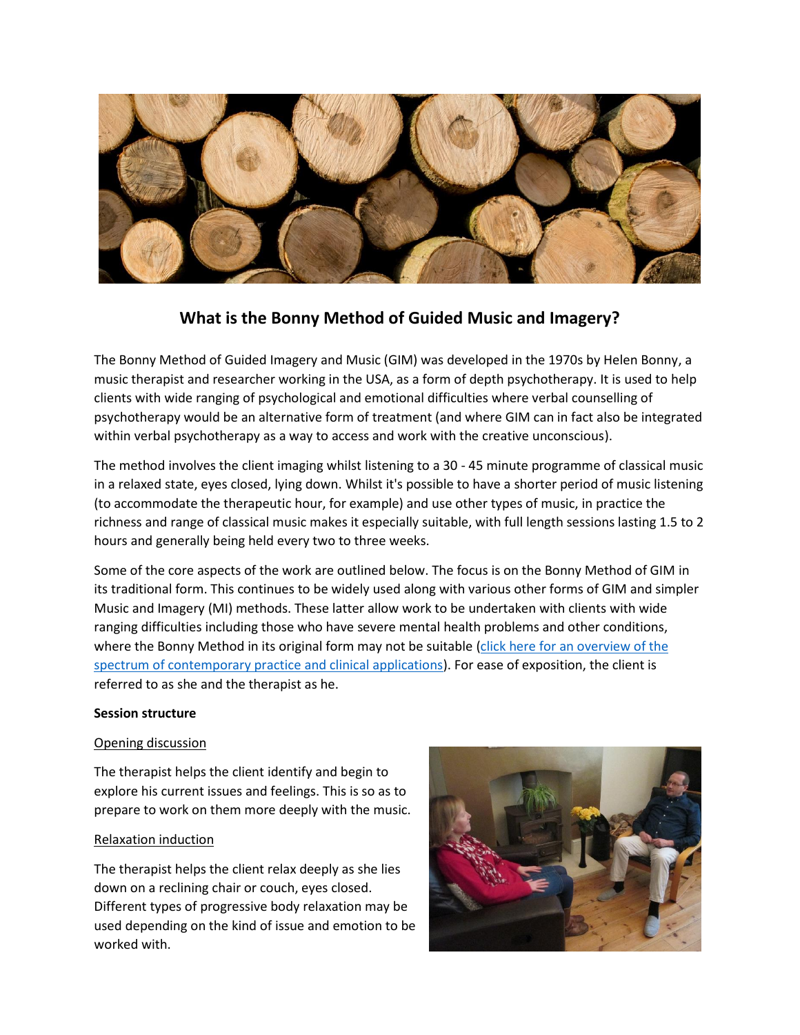

# **What is the Bonny Method of Guided Music and Imagery?**

The Bonny Method of Guided Imagery and Music (GIM) was developed in the 1970s by Helen Bonny, a music therapist and researcher working in the USA, as a form of depth psychotherapy. It is used to help clients with wide ranging of psychological and emotional difficulties where verbal counselling of psychotherapy would be an alternative form of treatment (and where GIM can in fact also be integrated within verbal psychotherapy as a way to access and work with the creative unconscious).

The method involves the client imaging whilst listening to a 30 - 45 minute programme of classical music in a relaxed state, eyes closed, lying down. Whilst it's possible to have a shorter period of music listening (to accommodate the therapeutic hour, for example) and use other types of music, in practice the richness and range of classical music makes it especially suitable, with full length sessions lasting 1.5 to 2 hours and generally being held every two to three weeks.

Some of the core aspects of the work are outlined below. The focus is on the Bonny Method of GIM in its traditional form. This continues to be widely used along with various other forms of GIM and simpler Music and Imagery (MI) methods. These latter allow work to be undertaken with clients with wide ranging difficulties including those who have severe mental health problems and other conditions, where the Bonny Method in its original form may not be suitable (click here for an overview of the [spectrum of contemporary practice and clinical applications\)](http://www.linkedin.com/hp/update/6245703767895875586). For ease of exposition, the client is referred to as she and the therapist as he.

# **Session structure**

# Opening discussion

The therapist helps the client identify and begin to explore his current issues and feelings. This is so as to prepare to work on them more deeply with the music.

## Relaxation induction

The therapist helps the client relax deeply as she lies down on a reclining chair or couch, eyes closed. Different types of progressive body relaxation may be used depending on the kind of issue and emotion to be worked with.

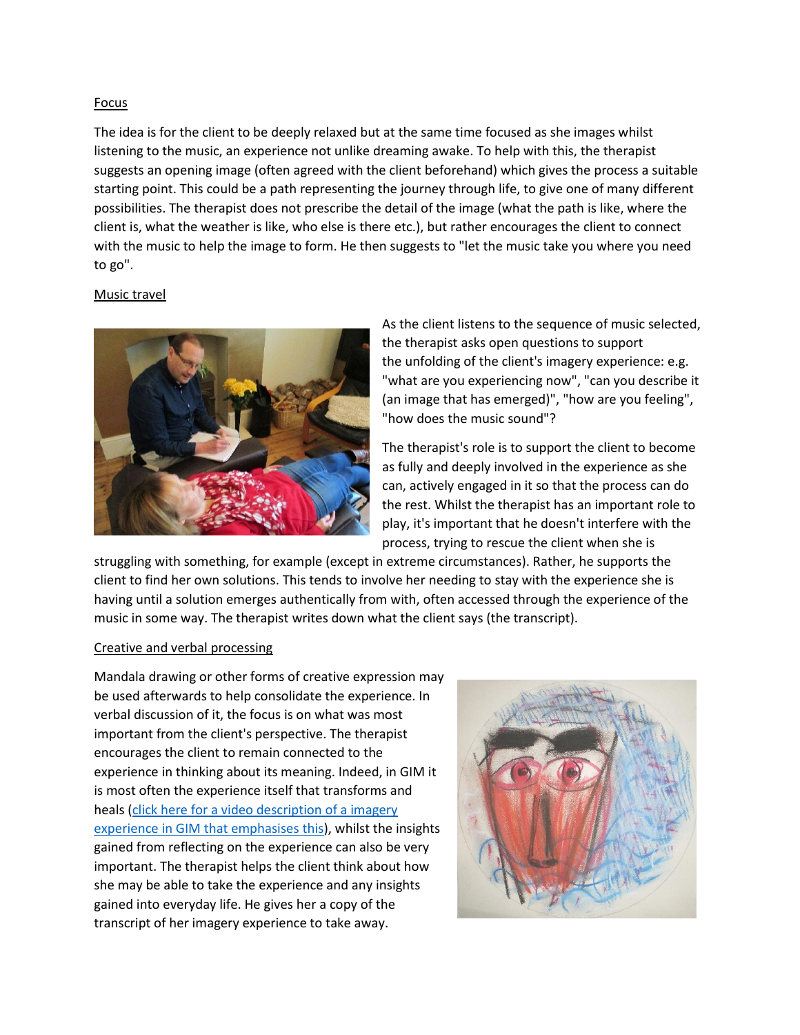## Focus

The idea is for the client to be deeply relaxed but at the same time focused as she images whilst listening to the music, an experience not unlike dreaming awake. To help with this, the therapist suggests an opening image (often agreed with the client beforehand) which gives the process a suitable starting point. This could be a path representing the journey through life, to give one of many different possibilities. The therapist does not prescribe the detail of the image (what the path is like, where the client is, what the weather is like, who else is there etc.), but rather encourages the client to connect with the music to help the image to form. He then suggests to "let the music take you where you need to go".

## Music travel



As the client listens to the sequence of music selected, the therapist asks open questions to support the unfolding of the client's imagery experience: e.g. "what are you experiencing now", "can you describe it (an image that has emerged)", "how are you feeling", "how does the music sound"?

The therapist's role is to support the client to become as fully and deeply involved in the experience as she can, actively engaged in it so that the process can do the rest. Whilst the therapist has an important role to play, it's important that he doesn't interfere with the process, trying to rescue the client when she is

struggling with something, for example (except in extreme circumstances). Rather, he supports the client to find her own solutions. This tends to involve her needing to stay with the experience she is having until a solution emerges authentically from with, often accessed through the experience of the music in some way. The therapist writes down what the client says (the transcript).

#### Creative and verbal processing

Mandala drawing or other forms of creative expression may be used afterwards to help consolidate the experience. In verbal discussion of it, the focus is on what was most important from the client's perspective. The therapist encourages the client to remain connected to the experience in thinking about its meaning. Indeed, in GIM it is most often the experience itself that transforms and heals [\(click here for a video description of a imagery](http://www.linkedin.com/hp/update/6246663493370548224)  [experience in GIM that emphasises this\)](http://www.linkedin.com/hp/update/6246663493370548224), whilst the insights gained from reflecting on the experience can also be very important. The therapist helps the client think about how she may be able to take the experience and any insights gained into everyday life. He gives her a copy of the transcript of her imagery experience to take away.

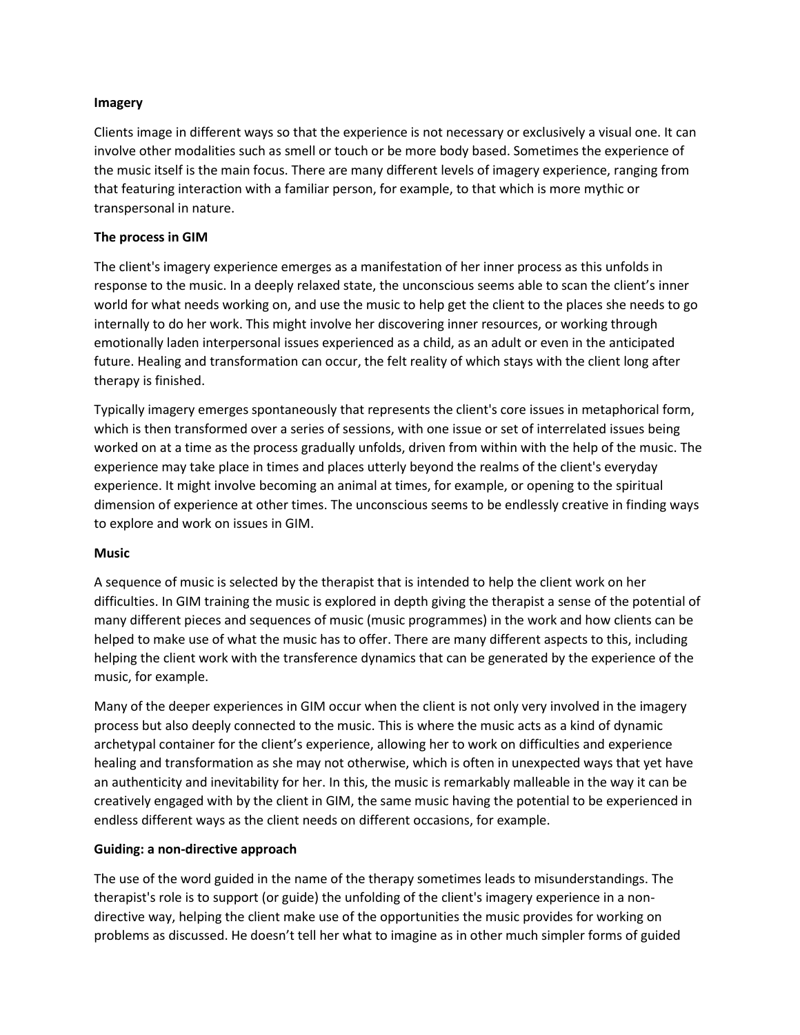## **Imagery**

Clients image in different ways so that the experience is not necessary or exclusively a visual one. It can involve other modalities such as smell or touch or be more body based. Sometimes the experience of the music itself is the main focus. There are many different levels of imagery experience, ranging from that featuring interaction with a familiar person, for example, to that which is more mythic or transpersonal in nature.

# **The process in GIM**

The client's imagery experience emerges as a manifestation of her inner process as this unfolds in response to the music. In a deeply relaxed state, the unconscious seems able to scan the client's inner world for what needs working on, and use the music to help get the client to the places she needs to go internally to do her work. This might involve her discovering inner resources, or working through emotionally laden interpersonal issues experienced as a child, as an adult or even in the anticipated future. Healing and transformation can occur, the felt reality of which stays with the client long after therapy is finished.

Typically imagery emerges spontaneously that represents the client's core issues in metaphorical form, which is then transformed over a series of sessions, with one issue or set of interrelated issues being worked on at a time as the process gradually unfolds, driven from within with the help of the music. The experience may take place in times and places utterly beyond the realms of the client's everyday experience. It might involve becoming an animal at times, for example, or opening to the spiritual dimension of experience at other times. The unconscious seems to be endlessly creative in finding ways to explore and work on issues in GIM.

## **Music**

A sequence of music is selected by the therapist that is intended to help the client work on her difficulties. In GIM training the music is explored in depth giving the therapist a sense of the potential of many different pieces and sequences of music (music programmes) in the work and how clients can be helped to make use of what the music has to offer. There are many different aspects to this, including helping the client work with the transference dynamics that can be generated by the experience of the music, for example.

Many of the deeper experiences in GIM occur when the client is not only very involved in the imagery process but also deeply connected to the music. This is where the music acts as a kind of dynamic archetypal container for the client's experience, allowing her to work on difficulties and experience healing and transformation as she may not otherwise, which is often in unexpected ways that yet have an authenticity and inevitability for her. In this, the music is remarkably malleable in the way it can be creatively engaged with by the client in GIM, the same music having the potential to be experienced in endless different ways as the client needs on different occasions, for example.

# **Guiding: a non-directive approach**

The use of the word guided in the name of the therapy sometimes leads to misunderstandings. The therapist's role is to support (or guide) the unfolding of the client's imagery experience in a nondirective way, helping the client make use of the opportunities the music provides for working on problems as discussed. He doesn't tell her what to imagine as in other much simpler forms of guided